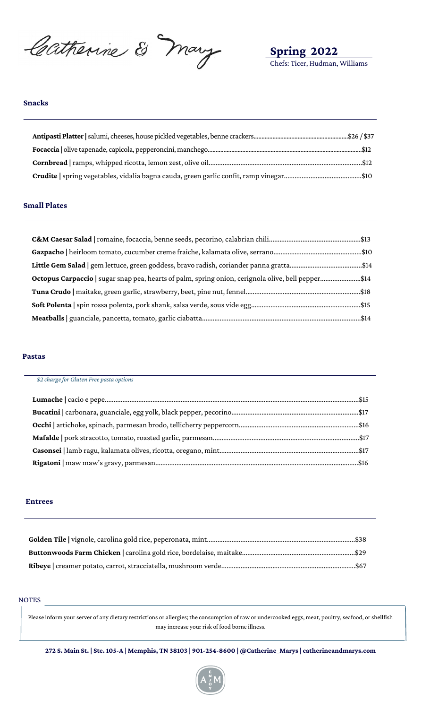Catherine & Mary

**Spring 2022** Chefs: Ticer, Hudman, Williams

#### **Snacks**

## **Small Plates**

| Octopus Carpaccio   sugar snap pea, hearts of palm, spring onion, cerignola olive, bell pepper\$14 |  |
|----------------------------------------------------------------------------------------------------|--|
|                                                                                                    |  |
|                                                                                                    |  |
|                                                                                                    |  |

#### **Pastas**

| \$2 charge for Gluten Free pasta options |  |
|------------------------------------------|--|
|                                          |  |
|                                          |  |
|                                          |  |
|                                          |  |
|                                          |  |
|                                          |  |

## **Entrees**

#### NOTES

Please inform your server of any dietary restrictions or allergies; the consumption of raw or undercooked eggs, meat, poultry, seafood, or shellfish may increase your risk of food borne illness.

272 S. Main St. | Ste. 105-A | Memphis, TN 38103 | 901-254-8600 | @Catherine\_Marys | catherine<br/>andmarys.com